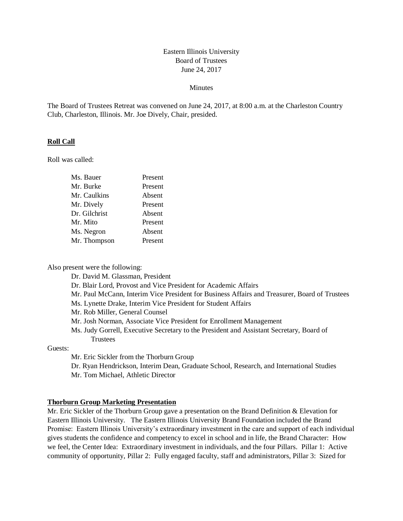# Eastern Illinois University Board of Trustees June 24, 2017

#### **Minutes**

The Board of Trustees Retreat was convened on June 24, 2017, at 8:00 a.m. at the Charleston Country Club, Charleston, Illinois. Mr. Joe Dively, Chair, presided.

### **Roll Call**

Roll was called:

| Ms. Bauer     | Present |
|---------------|---------|
| Mr. Burke     | Present |
| Mr. Caulkins  | Absent  |
| Mr. Dively    | Present |
| Dr. Gilchrist | Absent  |
| Mr. Mito      | Present |
| Ms. Negron    | Absent  |
| Mr. Thompson  | Present |
|               |         |

Also present were the following:

Dr. David M. Glassman, President

Dr. Blair Lord, Provost and Vice President for Academic Affairs

Mr. Paul McCann, Interim Vice President for Business Affairs and Treasurer, Board of Trustees

Ms. Lynette Drake, Interim Vice President for Student Affairs

Mr. Rob Miller, General Counsel

Mr. Josh Norman, Associate Vice President for Enrollment Management

Ms. Judy Gorrell, Executive Secretary to the President and Assistant Secretary, Board of Trustees

Guests:

Mr. Eric Sickler from the Thorburn Group

Dr. Ryan Hendrickson, Interim Dean, Graduate School, Research, and International Studies Mr. Tom Michael, Athletic Director

#### **Thorburn Group Marketing Presentation**

Mr. Eric Sickler of the Thorburn Group gave a presentation on the Brand Definition & Elevation for Eastern Illinois University. The Eastern Illinois University Brand Foundation included the Brand Promise: Eastern Illinois University's extraordinary investment in the care and support of each individual gives students the confidence and competency to excel in school and in life, the Brand Character: How we feel, the Center Idea: Extraordinary investment in individuals, and the four Pillars. Pillar 1: Active community of opportunity, Pillar 2: Fully engaged faculty, staff and administrators, Pillar 3: Sized for